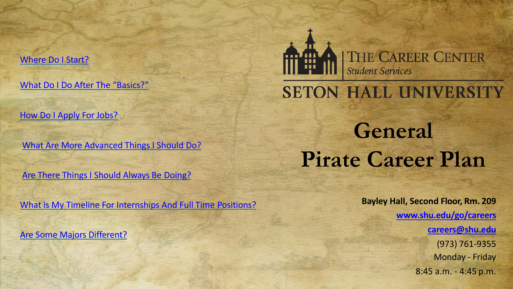[What Do I Do After The](#page-2-0) "Basics?"

[How Do I Apply For](#page-3-0) Jobs?

[What Are More Advanced Things I Should](#page-4-0) Do?

[Are There Things I Should Always Be](#page-5-0) Doing?

[What is My Timeline For Internships And Full Time](#page-6-0) Positions?

[Are Some Majors Different?](#page-7-0)



# **SETON HALL UNIVERSITY**

# **General Pirate Career Plan**

**Bayley Hall, Second Floor, Rm. 209 [www.shu.edu/go/careers](http://www.shu.edu/go/careers) [careers@shu.edu](mailto:careers@shu.edu)** (973) 761-9355 Monday - Friday 8:45 a.m. - 4:45 p.m.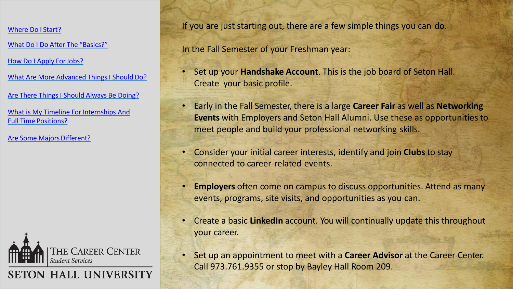<span id="page-1-0"></span>[What Do I Do After The](#page-2-0) "Basics?"

[How Do I Apply ForJobs?](#page-3-0)

[What Are More Advanced Things I Should](#page-4-0) Do?

[Are There Things I Should Always Be](#page-5-0) Doing?

[What is My Timeline For Internships And](#page-6-0) Full Time Positions?

Are Some Majors Different?



**SETON HALL UNIVERSITY** 

If you are just starting out, there are a few simple things you can do.

In the Fall Semester of your Freshman year:

- Set up your **Handshake Account**. This is the job board of Seton Hall. Create your basic profile.
- Early in the Fall Semester, there is a large **Career Fair** as well as **Networking Events** with Employers and Seton Hall Alumni. Use these as opportunities to meet people and build your professional networking skills.
- Consider your initial career interests, identify and join **Clubs** to stay connected to career-related events.
- **Employers** often come on campus to discuss opportunities. Attend as many events, programs, site visits, and opportunities as you can.
- Create a basic **LinkedIn** account. You will continually update this throughout your career.
- Set up an appointment to meet with a **Career Advisor** at the Career Center. Call 973.761.9355 or stop by Bayley Hall Room 209.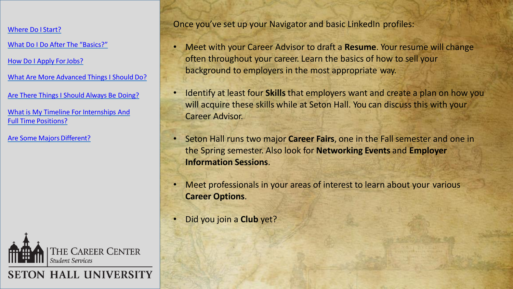<span id="page-2-0"></span>[What Do I Do After The](#page-2-0) "Basics?"

[How Do I Apply ForJobs?](#page-3-0)

[What Are More Advanced Things I Should](#page-4-0) Do?

[Are There Things I Should Always Be](#page-5-0) Doing?

[What is My Timeline For Internships And](#page-6-0) Full Time Positions?

Are Some Majors Different?



**SETON HALL UNIVERSITY** 

Once you've set up your Navigator and basic LinkedIn profiles:

- Meet with your Career Advisor to draft a **Resume**. Your resume will change often throughout your career. Learn the basics of how to sell your background to employers in the most appropriate way.
- Identify at least four **Skills** that employers want and create a plan on how you will acquire these skills while at Seton Hall. You can discuss this with your Career Advisor.
- Seton Hall runs two major **Career Fairs**, one in the Fall semester and one in the Spring semester. Also look for **Networking Events** and **Employer Information Sessions**.
- Meet professionals in your areas of interest to learn about your various **Career Options**.
- Did you join a **Club** yet?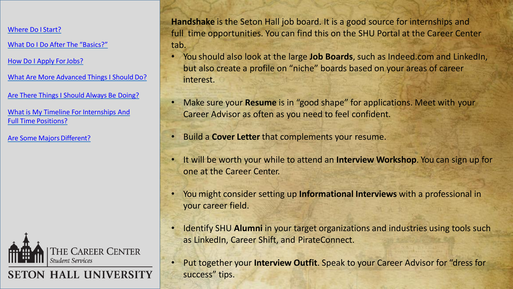<span id="page-3-0"></span>[What Do I Do After The](#page-2-0) "Basics?"

[How Do I Apply ForJobs?](#page-3-0)

[What Are More Advanced Things I Should](#page-4-0) Do?

[Are There Things I Should Always Be](#page-5-0) Doing?

[What is My Timeline For Internships And](#page-6-0) Full Time Positions?

Are Some Majors Different?



**SETON HALL UNIVERSITY** 

**Handshake** is the Seton Hall job board. It is a good source for internships and full time opportunities. You can find this on the SHU Portal at the Career Center tab.

- You should also look at the large **Job Boards**, such as Indeed.com and LinkedIn, but also create a profile on "niche" boards based on your areas of career interest.
- Make sure your **Resume** is in "good shape" for applications. Meet with your Career Advisor as often as you need to feel confident.
- Build a **Cover Letter** that complements your resume.
- It will be worth your while to attend an **Interview Workshop**. You can sign up for one at the Career Center.
- You might consider setting up **Informational Interviews** with a professional in your career field.
- Identify SHU **Alumni** in your target organizations and industries using tools such as LinkedIn, Career Shift, and PirateConnect.
- Put together your **Interview Outfit**. Speak to your Career Advisor for "dress for success" tips.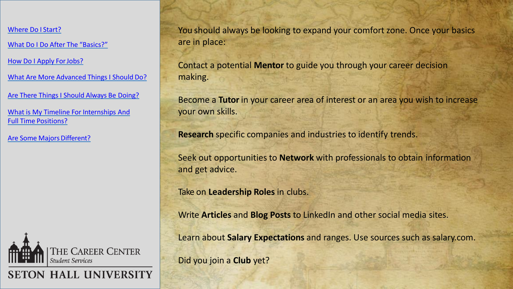<span id="page-4-0"></span>[What Do I Do After The](#page-2-0) "Basics?"

How Do I Apply For Jobs?

[What Are More Advanced Things I Should](#page-4-0) Do?

[Are There Things I Should Always Be](#page-5-0) Doing?

[What is My Timeline For Internships And](#page-6-0) Full Time Positions?

Are Some Majors Different?



**SETON HALL UNIVERSITY** 

You should always be looking to expand your comfort zone. Once your basics are in place:

Contact a potential **Mentor** to guide you through your career decision making.

Become a **Tutor** in your career area of interest or an area you wish to increase your own skills.

**Research** specific companies and industries to identify trends.

Seek out opportunities to **Network** with professionals to obtain information and get advice.

Take on **Leadership Roles** in clubs.

Write **Articles** and **Blog Posts** to LinkedIn and other social media sites.

Learn about **Salary Expectations** and ranges. Use sources such as salary.com.

Did you join a **Club** yet?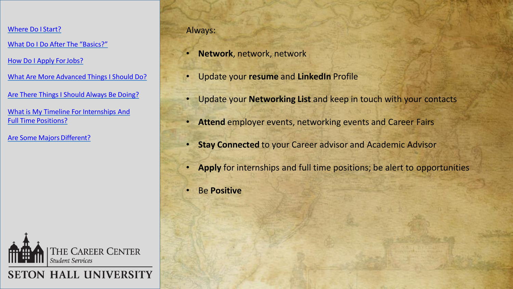<span id="page-5-0"></span>[What Do I Do After The](#page-2-0) "Basics?"

How Do I Apply For Jobs?

[What Are More Advanced Things I Should](#page-4-0) Do?

[Are There Things I Should Always Be](#page-5-0) Doing?

[What is My Timeline For Internships And](#page-6-0) Full Time Positions?

Are Some Majors Different?



# **SETON HALL UNIVERSITY**

### Always:

- **Network**, network, network
- Update your **resume** and **LinkedIn** Profile
- Update your **Networking List** and keep in touch with your contacts
- **Attend** employer events, networking events and Career Fairs
- **Stay Connected** to your Career advisor and Academic Advisor
- **Apply** for internships and full time positions; be alert to opportunities
- Be **Positive**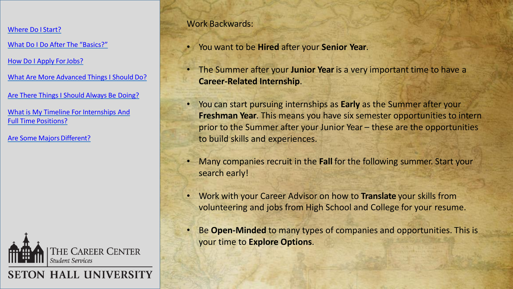<span id="page-6-0"></span>[What Do I Do After The](#page-2-0) "Basics?"

[How Do I Apply ForJobs?](#page-3-0)

[What Are More Advanced Things I Should](#page-4-0) Do?

[Are There Things I Should Always Be](#page-5-0) Doing?

[What is My Timeline For Internships And](#page-6-0) Full Time Positions?

Are Some Majors Different?



**SETON HALL UNIVERSITY** 

# Work Backwards:

• You want to be **Hired** after your **Senior Year**.

- The Summer after your **Junior Year** is a very important time to have a **Career-Related Internship**.
- You can start pursuing internships as **Early** as the Summer after your **Freshman Year**. This means you have six semester opportunities to intern prior to the Summer after your Junior Year – these are the opportunities to build skills and experiences.
- Many companies recruit in the **Fall** for the following summer. Start your search early!
- Work with your Career Advisor on how to **Translate** your skills from volunteering and jobs from High School and College for your resume.
- Be **Open-Minded** to many types of companies and opportunities. This is your time to **Explore Options**.